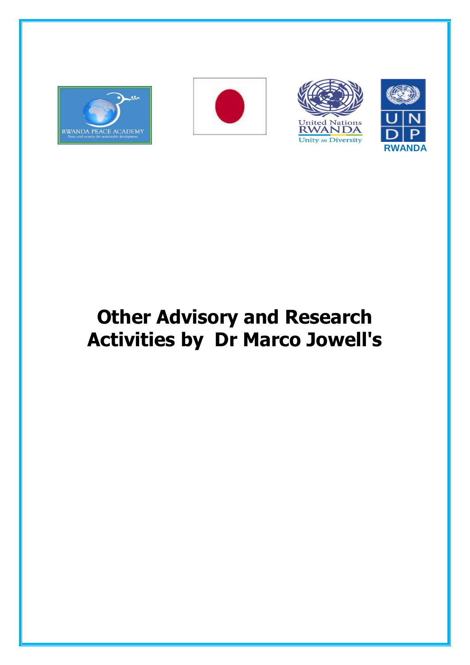







# **Other Advisory and Research Activities by Dr Marco Jowell's**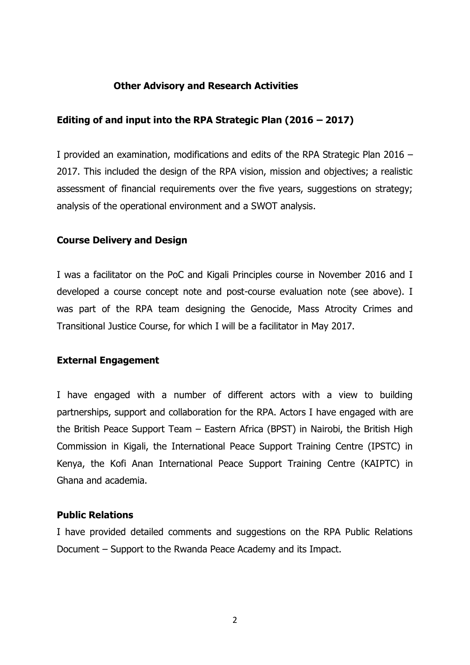# **Other Advisory and Research Activities**

# **Editing of and input into the RPA Strategic Plan (2016 – 2017)**

I provided an examination, modifications and edits of the RPA Strategic Plan 2016 – 2017. This included the design of the RPA vision, mission and objectives; a realistic assessment of financial requirements over the five years, suggestions on strategy; analysis of the operational environment and a SWOT analysis.

#### **Course Delivery and Design**

I was a facilitator on the PoC and Kigali Principles course in November 2016 and I developed a course concept note and post-course evaluation note (see above). I was part of the RPA team designing the Genocide, Mass Atrocity Crimes and Transitional Justice Course, for which I will be a facilitator in May 2017.

#### **External Engagement**

I have engaged with a number of different actors with a view to building partnerships, support and collaboration for the RPA. Actors I have engaged with are the British Peace Support Team – Eastern Africa (BPST) in Nairobi, the British High Commission in Kigali, the International Peace Support Training Centre (IPSTC) in Kenya, the Kofi Anan International Peace Support Training Centre (KAIPTC) in Ghana and academia.

## **Public Relations**

I have provided detailed comments and suggestions on the RPA Public Relations Document – Support to the Rwanda Peace Academy and its Impact.